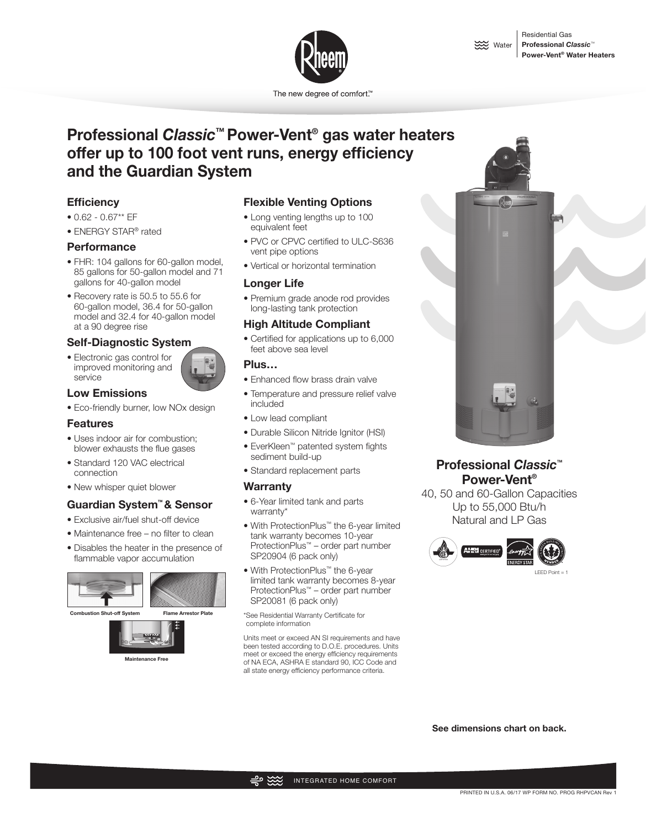

The new degree of comfort.™

# **Professional** *Classic***™ Power-Vent® gas water heaters offer up to 100 foot vent runs, energy efficiency and the Guardian System**

## **Efficiency**

- 0.62 0.67\*\* EF
- ENERGY STAR® rated

#### **Performance**

- FHR: 104 gallons for 60-gallon model, 85 gallons for 50-gallon model and 71 gallons for 40-gallon model
- Recovery rate is 50.5 to 55.6 for 60-gallon model, 36.4 for 50-gallon model and 32.4 for 40-gallon model at a 90 degree rise

#### **Self-Diagnostic System**

• Electronic gas control for improved monitoring and service



#### **Low Emissions**

• Eco-friendly burner, low NOx design

#### **Features**

- Uses indoor air for combustion; blower exhausts the flue gases
- Standard 120 VAC electrical connection
- New whisper quiet blower

# **Guardian System™ & Sensor**

- Exclusive air/fuel shut-off device
- Maintenance free no filter to clean
- Disables the heater in the presence of flammable vapor accumulation





### **Flexible Venting Options**

- Long venting lengths up to 100 equivalent feet
- PVC or CPVC certified to ULC-S636 vent pipe options
- Vertical or horizontal termination

#### **Longer Life**

• Premium grade anode rod provides long-lasting tank protection

#### **High Altitude Compliant**

• Certified for applications up to 6,000 feet above sea level

#### **Plus…**

- Enhanced flow brass drain valve
- Temperature and pressure relief valve included
- Low lead compliant
- Durable Silicon Nitride Ignitor (HSI)
- EverKleen™ patented system fights sediment build-up
- Standard replacement parts

#### **Warranty**

- 6-Year limited tank and parts warranty\*
- With ProtectionPlus™ the 6-year limited tank warranty becomes 10-year ProtectionPlus™ – order part number SP20904 (6 pack only)
- With ProtectionPlus™ the 6-year limited tank warranty becomes 8-year ProtectionPlus™ – order part number SP20081 (6 pack only)

\*See Residential Warranty Certificate for complete information

Units meet or exceed AN SI requirements and have been tested according to D.O.E. procedures. Units meet or exceed the energy efficiency requirements of NA ECA, ASHRA E standard 90, ICC Code and all state energy efficiency performance criteria.



# **Professional** *Classic***™ Power-Vent®**

40, 50 and 60-Gallon Capacities Up to 55,000 Btu/h Natural and LP Gas



**See dimensions chart on back.**